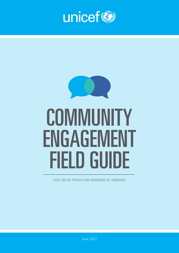



FOR LISE BY FRONT-LINE WORKERS IN LEBANON

June, 2017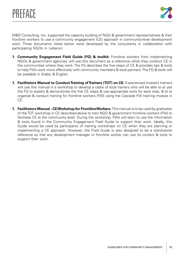

M&D Consulting, Inc. supported the capacity building of NGO & government representatives & their frontline workers to use a community engagement (CE) approach in community-level development work. Three documents listed below were developed by the consultants in collaboration with participating NGOs in Lebanon.

- **1. Community Engagement Field Guide (FG) & toolkit:** Frontline workers from implementing NGOs & government agencies will use this document as a reference while they conduct CE in the communities where they work. The FG describes the five steps of CE & provides tips & tools to help FWs work more effectively with community members & local partners. The FG & tools will be available in Arabic & English.
- **1. Facilitators Manual to Conduct Training of Trainers (TOT) on CE:** Experienced (master) trainers will use this manual in a workshop to develop a cadre of local trainers who will be able to a) use the FG to explain & demonstrate the five CE steps & use appropriate tools for each step, & b) to organize & conduct training for frontline workers (FW) using the Cascade FW training module in CE.
- **1. Facilitators Manual CE Workshop for Frontline Workers:** This manual is to be used by graduates of the TOT workshop in CE described above to train NGO & government frontline workers (FW) to facilitate CE at the community level. During the workshop, FWs will learn to use the information & tools found in the Community Engagement Field Guide to support their work. Ideally, this Guide would be used by participants of training workshops on CE when they are planning or implementing a CE approach. However, the Field Guide is also designed to be a stand-alone reference so that any development manager or frontline worker can use its content & tools to support their work.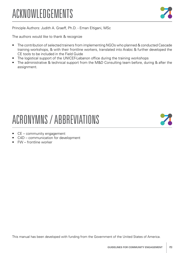# ACKNOWLEDGEMENTS



Principle Authors: Judith A. Graeff, Ph.D. - Eman Eltigani, MSc

The authors would like to thank & recognize

- The contribution of selected trainers from implementing NGOs who planned & conducted Cascade training workshops, & with their frontline workers, translated into Arabic & further developed the CE tools to be included in the Field Guide
- The logistical support of the UNICEF-Lebanon office during the training workshops
- The administrative & technical support from the M&D Consulting team before, during & after the assignment.

# ACRONYMNS / ABBREVIATIONS

- CE community engagement
- C4D communication for development
- FW frontline worker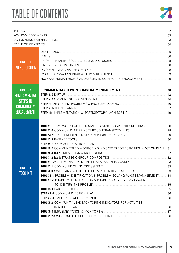# **TABLE OF CONTENTS**



| PREFACE             |                                                                                                                                                                                                                                |  |
|---------------------|--------------------------------------------------------------------------------------------------------------------------------------------------------------------------------------------------------------------------------|--|
|                     |                                                                                                                                                                                                                                |  |
|                     |                                                                                                                                                                                                                                |  |
|                     | TABLE OF CONTENTS <b>CONTENTS</b> 2004                                                                                                                                                                                         |  |
|                     |                                                                                                                                                                                                                                |  |
|                     | <b>ROLES</b>                                                                                                                                                                                                                   |  |
|                     |                                                                                                                                                                                                                                |  |
| <b>CHAPTER 1</b>    | FINDING LOCAL PARTNERS                                                                                                                                                                                                         |  |
| <b>INTRODUCTION</b> | INVOLVING MARGINALIZED PEOPLE <b>MARGINALIZED</b> PEOPLE 2008                                                                                                                                                                  |  |
|                     |                                                                                                                                                                                                                                |  |
|                     |                                                                                                                                                                                                                                |  |
| <b>CHAPTER 2</b>    | FUNDAMENTAL STEPS IN COMMUNITY ENGAGEMENT MANUSIC CONTENTING TO THE THE STEPS IN COMMUNITY ENGAGEMENT                                                                                                                          |  |
| <b>FUNDAMENTAL</b>  | STEP 1: START UP                                                                                                                                                                                                               |  |
|                     |                                                                                                                                                                                                                                |  |
| <b>STEPS IN</b>     | STEP 3: IDENTIFYING PROBLEMS & PROBLEM SOLVING <b>CONSERVERSITY OF A SET ASSESS</b> 16                                                                                                                                         |  |
| <b>COMMUNITY</b>    | STEP 4: ACTION PLANNING                                                                                                                                                                                                        |  |
| <b>ENGAGEMENT</b>   | STEP 5: IMPLEMENTATION & PARTICIPATORY MONITORING <b>CONSTRUSTER SETTING</b> 19                                                                                                                                                |  |
|                     |                                                                                                                                                                                                                                |  |
|                     |                                                                                                                                                                                                                                |  |
|                     | TOOL #2-2: COMMUNITY MAPPING THROUGH TRANSECT WALKS MARKER AND MALLING ASSAULTY MAPPING THROUGH TRANSECT WALKS                                                                                                                 |  |
|                     |                                                                                                                                                                                                                                |  |
|                     | <b>TOOL #3-3: PARTNER TOOLS.</b>                                                                                                                                                                                               |  |
|                     | STEP #4-1: COMMUNITY ACTION PLAN <b>EXAMPLE AND THE STEP #4-1:</b> COMMUNITY ACTION PLAN                                                                                                                                       |  |
|                     | TOOL #5-2: COMMUNITY-LED MONITORING INDICATORS FOR ACTIVITIES IN ACTION PLAN  31                                                                                                                                               |  |
|                     | 32<br><b>TOOL #5-3: IMPLEMENTATION &amp; MONITORING</b>                                                                                                                                                                        |  |
|                     | TOOL #1: WASTE MANAGEMENT IN THE AKARAA SYRIAN CAMP <b>CAMP</b> 233                                                                                                                                                            |  |
|                     | TOOL#2-1: COMMUNITY'S LED ASSESSMENT MARKED AND RELATION AND 33                                                                                                                                                                |  |
| <b>CHAPTER 4</b>    |                                                                                                                                                                                                                                |  |
| <b>TOOL KIT</b>     | TOOL #3-1: PROBLEM IDENTIFICATION & PROBLEM SOLVING: WASTE MANAGEMENT  34                                                                                                                                                      |  |
|                     | <b>TOOL #3-2: PROBLEM IDENTIFICATION &amp; PROBLEM SOLVING FRAMEWORK</b>                                                                                                                                                       |  |
|                     |                                                                                                                                                                                                                                |  |
|                     |                                                                                                                                                                                                                                |  |
|                     | STEP #4-1: COMMUNITY ACTION PLAN MARKET AND THE RESIDENCE AND SOLUTION OF A SET AND SOLUTION OF A SET AND SOLUTION OF A SET AND SOLUTION OF A SET AND SOLUTION OF A SET AND SOLUTION OF A SET AND SOLUTION OF A SET AND SOLUTI |  |
|                     | STEP # 5-1: IMPLEMENTATION & MONITORING <b>CONSERVERSITY AND ALL 2018</b> 36                                                                                                                                                   |  |
|                     | TOOL #5-2: COMMUNITY LEAD MONITORING INDICATORS FOR ACTIVITIES                                                                                                                                                                 |  |
|                     | 36<br>IN ACTION PLAN                                                                                                                                                                                                           |  |
|                     | TOOL #5-3: IMPLEMENTATION & MONITORING <b>CONSIDERATION</b> 47                                                                                                                                                                 |  |
|                     | TOOL #1-2 & 2-4: STRATEGIC GROUP COMPOSITION DURING CE COMPOSITION AND RELATED 136                                                                                                                                             |  |
|                     |                                                                                                                                                                                                                                |  |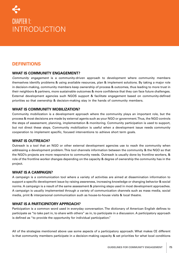# CHAPTER 1: INTRODUCTION

# **DEFINITIONS**

### **WHAT IS COMMUNITY ENGAGEMENT?**

*Community engagement* is a community-driven approach to development where community members themselves identify problems & using available resources, plan & implement solutions. By taking a major role in decision-making, community members keep ownership of process & outcomes, thus leading to more trust in their neighbors & partners, more sustainable outcomes & more confidence that they can face future challenges. External development agencies such NGOS support & facilitate engagement based on community-defined priorities so that ownership & decision-making stay in the hands of community members.

### **WHAT IS COMMUNITY MOBILIZATION?**

Community mobilization is a development approach where the community plays an important role, but the process & most decisions are made by external agents such as your NGO or government. Thus, the NGO controls the steps of assessment, planning, implementation & monitoring. Community participation is used to support, but not direct these steps. Community mobilization is useful when a development issue needs community cooperation to implement specific, focused interventions to achieve short term goals.

### **WHAT IS OUTREACH?**

Outreach is a tool that an NGO or other external development agencies use to reach the community when addressing a development problem. This tool channels information between the community & the NGO so that the NGO's projects are more responsive to community needs. Outreach is usually done by frontline workers, & role of the frontline worker changes depending on the capacity & degree of ownership the community has in the project.

### **WHAT IS A CAMPAIGN?**

A campaign is a communication tool where a variety of activities are aimed at dissemination information to support a specific development issue by raising awareness, increasing knowledge or changing behavior & social norms. A campaign is a result of the same assessment & planning steps used in most development approaches. A campaign is usually implemented through a variety of communication channels such as mass media, social media, print & interpersonal communication such as house-to-house visits & local theatre.

### **WHAT IS A PARTICIPATORY APPROACH?**

Participation is a common word used in everyday conversation. The dictionary of American English defines to participate as "to take part in, to share with others" as in, to participate in a discussion. A participatory approach is defined as "to provide the opportunity for individual participation."

All of the strategies mentioned above use some aspects of a participatory approach. What makes CE different is that community members participate in a decision-making capacity & set priorities for what local conditions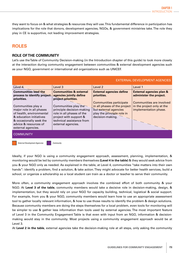they want to focus on & what strategies & resources they will use. This fundamental difference in participation has implications for the role that donors, development agencies, NGOs, & government ministries take. The role they play in CE is supportive, not leading improvement strategies.

# **ROLES**

### **ROLE OF THE COMMUNITY**

Let's use the Table of Community Decision-making (in the Introduction chapter of this guide) to look more closely at the interaction during community engagement between communities & external development agencies such as your NGO, government or international aid organizations such as UNICEF.

|                                                                                                                                                                                 |                                                                                                                                                             |                                                                                                                                           | <b>EXTERNAL DEVELOPMENT AGENCIES</b>                                            |
|---------------------------------------------------------------------------------------------------------------------------------------------------------------------------------|-------------------------------------------------------------------------------------------------------------------------------------------------------------|-------------------------------------------------------------------------------------------------------------------------------------------|---------------------------------------------------------------------------------|
| Level-4                                                                                                                                                                         | Level 3                                                                                                                                                     | Level <sub>2</sub>                                                                                                                        | Level 1                                                                         |
| <b>Communities lead the</b><br>process to identify project-<br>priorities.                                                                                                      | <b>Communities &amp; external</b><br>agencies jointly define<br>project priorities.                                                                         | <b>External agencies define</b><br>priorities.                                                                                            | <b>External agencies plan &amp;</b><br>administer the project.                  |
| Communities play a<br>major role in all phases<br>of health, environmental<br>& education initiatives<br>& occasionally seek the<br>advice & resources of<br>external agencies. | Communities play the<br>principle decision-making<br>role in all phases of the<br>project with support &<br>technical assistance from<br>external agencies. | <b>Communities participate</b><br>in all phases of the project<br>but external agencies<br>play the principle role in<br>decision-making. | Communities are involved<br>in the project only at the<br>implementation phase. |
| <b>COMMUNITY</b>                                                                                                                                                                |                                                                                                                                                             |                                                                                                                                           |                                                                                 |

*External Development Agencies Community*

Ideally, if your NGO is using a community engagement approach, assessment, planning, implementation, & monitoring would be led by community members themselves **(Level 4 in the table)** & they would seek advice from you & your NGO only as needed. As explained in the table, at Level 4, communities "take matters into their own hands": identify a problem, find a solution, & take action. They might advocate for better health services, build a school, or organize a scholarship so a local student can train as a doctor or teacher to serve their community.

More often, a community engagement approach involves the combined effort of both community & your NGO. At **Level 3 of the table**, community members would take a decisive role in decision-making, design, & implementation, but they would rely on your NGO for capacity building, technical, logistical & social support. For example, from you & your NGO, community members would learn how to use an appropriate assessment tool to gather locally relevant information, & how to use those results to identify the problem & design solutions. Because community members are doing the steps themselves for a local problem, even tools for monitoring will be simpler to use & gather less information than tools used by external agencies. The most important feature of Level 3 in the Community Engagement Table is that even with input from an NGO, information & decisionmaking would stay in the community. Most projects using a community engagement approach would be at Level 3.

At **Level 2 in the table**, external agencies take the decision-making role at all steps, only asking the community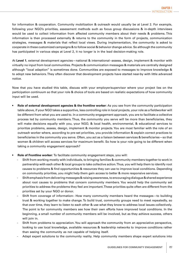for information & cooperation. Community mobilization & outreach would usually be at Level 2. For example, following your NGO's priorities, assessment methods such as focus group discussions & in-depth interviews would be used to collect information from affected community members about their needs & problems. This information is then processed externally & returns to the community in the form of projects, communication strategies, messages & materials that reflect local views. During implementation, the community is asked to cooperate in these customized campaigns & to follow social & behavior change advice. So although the community has participated in various steps at Level 2, it no longer is in the lead decision-making role.

At **Level 1**, external development agencies—national & international--assess, design, implement & monitor with virtually no input from local communities. Projects & communication messages & materials are centrally designed although "local adaption" is sometimes done. Communities are exposed to messages to improve knowledge & to adopt new behaviors. They often discover that development projects have started near-by with little advanced notice.

Now that you have studied this table, discuss with your employer/supervisor where your project lies on the participation continuum so that your role & choice of tools are based on realistic expectations of how community input will be used.

- **• Role of external development agencies & the frontline worker:** As you see from the community participation table above, if your NGO takes a supportive, less controlling role in local projects, your role as a fieldworker will be different from what you are used to. In a community engagement approach, you are to facilitate a collective process led by community members. Thus, the community you serve will be more than beneficiaries, they will make decisions equally with you, your NGO, & local health, environmental, & educational services to prioritize problems, assess, design, implement & monitor projects. You are most familiar with the role of an outreach worker where, according to pre-set priorities, you provide information & explain correct practices to beneficiaries in the community you serve. Often, you act as a liaison between services & beneficiaries—so that women & children will access services for maximum benefit. So how is your role going to be different when taking a community engagement approach?
- **• Role of Frontline worker:** To facilitate community engagement steps, you will:
	- Shift from working mostly with individuals, to bringing families & community members together to work in partnership with each other & local groups to take collective action. Thus, you will help them to identify root causes to problems & find opportunities & resources they can use to improve local conditions. Depending on community priorities, you might help them gain access to better & more responsive services.
	- Shift emphasis from delivering messages & raising awareness, to encouraging dialogue & shared experience about root causes to problems that concern community members. You would help the community set priorities to address the problems they feel are important. These priorities quite often are different from the priorities set by your NGO or donor.
	- Shift from coverage of information– How many community members heard the messages—to building trust & working together to make change. To build trust, community groups need to meet repeatedly, so that over time, they learn to listen to each other & use what they know to address local issues collectively. The point is for community members see how their own efforts have improved local conditions. In the beginning, a small number of community members will be involved, but as they achieve success, others will join in.
	- Shift from problems to appreciation. You will approach the community from an appreciative perspective, looking to use local knowledge, available resources & leadership networks to improve conditions rather than seeing the community as not capable of helping itself.
	- Adapt expert solutions to the community reality. Help community members shape expert solutions into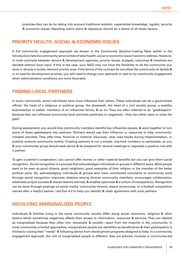practices they can do by taking into account traditional wisdom, experiential knowledge, logistic, security & economic issues. Resulting action plans & objectives should be a blend of all these factors.

# **PRIORITY HEALTH, SOCIAL & ECONOMIC ISSUES**

A full community engagement approach (as shown in the Community Decision-making Table earlier in the Introduction) lets the community set priorities of what health, social or economic issue it wants to address. However, in most contracts between donors & development agencies, priority issues, budgets, outcomes & timelines are decided without local input. If this is the case, your NGO may not have the flexibility to let the community you work in choose a locally relevant priority area. If the terms of the contract do not allow the community to decide & or to lead the development process, you will need to change your approach or wait to try community engagement when administrative conditions are more favorable.

# **FINDING LOCAL PARTNERS**

In every community, some individuals have more influence than others. These individuals can be a government official, the head of a religious or political group, the shaweesh, the head of a civil society group, a wealthy businessman or kafeel, members of an influential family, & so on. They are often referred to as "gatekeepers" because they can influence community-level activities positively or negatively—they can either open or close the gate!

During assessment, you would help community members identify key influential people, & work together to turn some of these gatekeepers into partners. Partners would use their influence or resources to help communityinitiated activities. They offer time, financial or material resources, clear road blocks during implementation, or publicly endorse community events. Creating partners is not a simple, one-time invitation to participate, so you & your community group should seek advice & be prepared for several meetings to negotiate a positive role with a partner.

To gain a partner's cooperation, you cannot offer money or other material benefits but you can give them social recognition. Social recognition is a process that acknowledges individuals or groups in different ways. Most people want to be seen as good citizens, good neighbors, good examples of their religion or the member of the better political party. So, acknowledging individuals & groups who have contributed voluntarily to community work through social recognition improves relations among diverse community members, encourages collaboration, celebrates project success & shares lessons learned, & enables openness & a culture of transparency. Recognition can be done through postings on social media, community dinners, award ceremonies, or a football competition named after a helpful partner. Use Tool 4-2 to help you identify & reach agreement with local partners.

# **INVOLVING MARGINALIZED PEOPLE**

Individuals & families living in the same community usually differ along social, economic, religious & other factors which sometimes negatively affects their access to information, resources & services. They are labeled as marginalized because they often live—physically & socially—apart from the majority in the community. In most community-oriented approaches, marginalized people are identified as beneficiaries & their participation is limited to voicing their "needs" & following advice from development programs designed to help. In a community engagement approach, the role of marginalized people is different: they are actively involved in community-led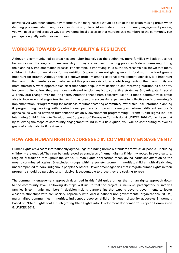activities. As with other community members, the marginalized would be part of the decision-making group when defining problems, identifying resources & making plans. At each step of the community engagement process, you will need to find creative ways to overcome local biases so that marginalized members of the community can participate equally with their neighbors.

# **WORKING TOWARD SUSTAINABILITY & RESILIENCE**

Although a community-led approach seems labor intensive at the beginning, more families will adopt desired behaviors over the long term (sustainability) if they are involved in setting priorities & decision-making during the planning & implementation process. For example, if improving child nutrition, research has shown that many children in Lebanon are at risk for malnutrition & parents are not giving enough food from the food groups important for growth. Although this is a known problem among external development agencies, it is important that community members see to what extent this problem exists locally, which segments of their community are most affected & what opportunities exist that could help. If they decide to set improving nutrition as a priority for community action, they are more motivated to plan realistic, corrective strategies & participate in social & behavioral change over the long term. Another benefit from collective action is that a community is better able to face new challenges (resilience) if it has previous successful experience in collective decision-making & implementation. "Programming for resilience requires fostering community ownership, risk-informed planning & programming, working with nontraditional partners & improving synergies between different sectors & agencies, as well as between humanitarian action & development programming." (From: "Child Rights Tool Kit: Integrating Child Rights into Development Cooperation", European Commission & UNICEF, 2014.) You will see that by following the steps of community engagement found in this field guide, you will be contributing to over-all goals of sustainability & resilience.

## **HOW ARE HUMAN RIGHTS ADDRESSED IN COMMUNITY ENGAGEMENT?**

Human rights are a set of internationally agreed, legally binding norms & standards to which all people – including children – are entitled. They can be understood as standards of human dignity & identity rooted in every culture, religion & tradition throughout the world. Human rights approaches mean giving particular attention to the most discriminated against & excluded groups within a society: women, minorities, children with disabilities, unaccompanied minors, indigenous peoples & others. Development agencies that integrate human rights in their programs should be participatory, inclusive & accountable to those they are seeking to reach.

The community engagement approach described in this field guide brings the human rights approach down to the community level. Following its steps will insure that the project is inclusive, participatory & involves families & community members in decision-making partnerships that expand beyond governments to foster closer relationships with civil society, especially with local & national non-governmental organizations (NGOs), marginalized communities, minorities, indigenous peoples, children & youth, disability advocates & women. Based on "Child Rights Tool Kit: Integrating Child Rights into Development Cooperation", European Commission & UNICEF, 2014.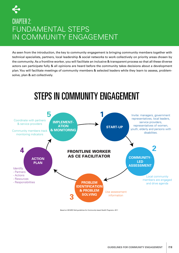# CHAPTER 2: FUNDAMENTAL STEPS IN COMMUNITY ENGAGEMENT

As seen from the introduction, the key to community engagement is bringing community members together with technical specialists, partners, local leadership & social networks to work collectively on priority areas chosen by the community. As a frontline worker, you will facilitate an inclusive & transparent process so that all these diverse actors can participate fully & all opinions are heard before the community takes decisions about a development plan. You will facilitate meetings of community members & selected leaders while they learn to assess, problemsolve, plan & act collectively.



Based on WCARO field guidelines for Community-based Health Programs. 2011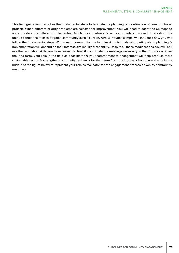This field guide first describes the fundamental steps to facilitate the planning & coordination of community-led projects. When different priority problems are selected for improvement, you will need to adapt the CE steps to accommodate the different implementing NGOs, local partners & service providers involved. In addition, the unique conditions of each targeted community such as urban, rural & refugee camps, will influence how you will follow the fundamental steps. Within each community, the families & individuals who participate in planning & implementation will depend on their interest, availability & capability. Despite all these modifications, you will still use the facilitation skills you have learned to lead & coordinate the meetings necessary in the CE process. Over the long term, your role in the field as a facilitator & your commitment to engagement will help produce more sustainable results & strengthen community resiliency for the future. Your position as a frontlineworker is in the middle of the figure below to represent your role as facilitator for the engagement process driven by community members.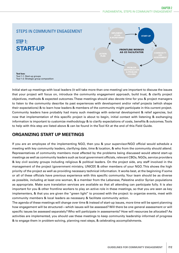

Initial start-up meetings with local leaders (it will take more than one meeting) are important to discuss the issues that your project will focus on, introduce the community engagement approach, build trust, & clarify project objectives, methods & expected outcomes. These meetings should also devote time for you & project managers to listen to the community describe its past experiences with development and/or relief projects (which shape their expectations) & to learn how leaders & members of the community might participate in this current project. Community leaders have probably had many such meetings with external development & relief agencies, but now that implementation of this specific project is about to begin, initial contact with listening & exchanging information is important to customize methodology & to clarify expectations of costs, benefits & outcomes. Tools to help with this step are listed above & can be found in the Tool Kit at the end of this Field Guide.

## **ORGANIZING START UP MEETINGS**

If you are an employee of the implementing NGO, then you & your supervisor/NGO official would schedule a meeting with key community leaders, clarifying date, time & location, & who from the community should attend. Representatives of community members most affected by the problems being discussed would attend start-up meetings as well as community leaders such as local government officials, relevant CBOs, NGOs, service providers & key civil society groups including religious & political leaders. On the project side, any staff involved in the management of the project (government ministry, UNICEF, & other members of your NGO. This shows the high priority of the project as well as providing necessary technical information. It works best, at the beginning if some or all of these officials have previous experience with this specific community. Your team should be as diverse as possible, including at least one woman, & a member from the Lebanese, Palestine and/or Syrian populations as appropriate. Make sure translation services are available so that all attending can participate fully. It is also important for you & other frontline workers to play an active role in these meetings, so that you are seen as key implementers, & that you are given the "green light" to proceed with the project: to organize events, meet with community members & local leaders as necessary & facilitate community action.

The agenda of these meetings will change over time & instead of start-up issues, more time will be spent planning how engagement will be structured—which issues will be assessed? Will there be one general assessment or will specific issues be assessed separately? Who will participate in assessments? How will resources be allocated? As activities are implemented, you should use these meetings to keep community leadership informed of progress & to engage them in problem-solving, planning next steps, & celebrating accomplishments.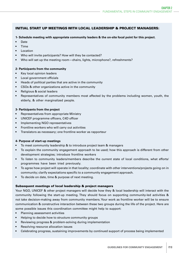### INITIAL START UP MEETINGS WITH LOCAL LEADERSHIP & PROJECT MANAGERS:

- **1- Schedule meeting with appropriate community leaders & the on-site focal point for this project.**
- Date
- Time
- Location
- Who will invite participants? How will they be contacted?
- Who will set up the meeting room—chairs, lights, microphone?, refreshments?

### **2- Participants from the community**

- Key local opinion leaders
- Local government officials
- Heads of political parties that are active in the community
- CSOs & other organizations active in the community
- Religious & social leaders
- Representatives of community members most affected by the problems including women, youth, the elderly, & other marginalized people.

### **3- Participants from the project**

- Representatives from appropriate Ministry
- UNICEF programme officers, C4D officer
- Implementing NGO representatives
- Frontline workers who will carry out activities
- Translators as necessary; one frontline worker as rapporteur

### **4- Purpose of start-up meetings**

- To meet community leadership & to introduce project team & managers
- To explain the community engagement approach to be used; how this approach is different from other development strategies; introduce frontline workers
- To listen to community leaders/members describe the current state of local conditions, what efforts/ programmes have been tried previously.
- To agree how project will operate in that locality; coordinate with other interventions/projects going on in community; clarify expectations specific to a community engagement approach.
- To decide on date, time & purpose of next meeting.

### Subsequent meetings of local leadership & project managers

Your NGO, UNICEF & other project managers will decide how they & local leadership will interact with the community following the start-up meeting. They should focus on supporting community-led activities & not take decision-making away from community members. Your work as frontline worker will be to ensure communication & constructive interaction between these two groups during the life of the project. Here are some possible issues this coordination committee might help to support:

- Planning assessment activities
- Helping to decide how to structure community groups
- Reviewing progress & problem-solving during implementation
- Resolving resource allocation issues
- Celebrating progress, sustaining improvements by continued support of process being implemented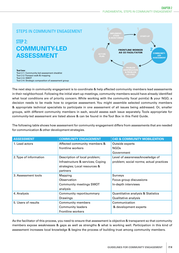

The next step in community engagement is to coordinate & help affected community members lead assessments in their neighborhood. Following the initial start-up meetings, community members would have already identified what local conditions are of priority concern. While working with the community focal point(s) & your NGO, a decision needs to be made how to organize assessment. You might assemble selected community members & appropriate technical specialists to participate in one assessment of all issues being addressed. Or, smaller groups, with different community members in each, would assess each issue separately. Tools appropriate for community-led assessment are listed above & can be found in the Tool Box in this Field Guide.

The following table shows how assessment for community engagement differs from assessments that are needed for communication & other development strategies.

| <b>ASSESSMENT</b>      | <b>COMMUNITY ENGAGEMENT</b>       | <b>C4D &amp; COMMUNITY MOBILIZATION</b> |
|------------------------|-----------------------------------|-----------------------------------------|
| 1. Lead actors         | Affected community members &      | Outside experts                         |
|                        | frontline workers                 | <b>NGOs</b>                             |
|                        |                                   | Government                              |
| 2. Type of information | Description of local problem;     | Level of awareness/knowledge of         |
|                        | Infrastructure & services; Coping | problem; social norms; actual practices |
|                        | strategies; Local resources &     |                                         |
|                        | partners                          |                                         |
| 3. Assessment tools    | Mapping                           | Surveys                                 |
|                        | Observation                       | Focus group discussions                 |
|                        | <b>Community meetings SWOT</b>    | In-depth interviews                     |
|                        | analysis                          |                                         |
| 4. Analysis            | Community report/summary          | Quantitative analysis & Statistics      |
|                        | Drawings                          | Qualitative analysis                    |
| 5. Users of results    | <b>Community members</b>          | Communication                           |
|                        | <b>Community leaders</b>          | & development experts                   |
|                        | Frontline workers                 |                                         |

As the facilitator of this process, you need to ensure that assessment is objective & transparent so that community members expose weaknesses & gaps as well as strengths & what is working well. Participation in this kind of assessment increases local knowledge & begins the process of building trust among community members.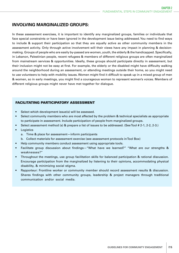### **INVOLVING MARGINALIZED GROUPS:**

In these assessment exercises, it is important to identify any marginalized groups, families or individuals that face special constraints or have been ignored in the development issue being addressed. You need to find ways to include & support their participation so that they are equally active as other community members in the assessment activity. Only through active involvement will their views have any impact in planning & decisionmaking. Groups of people who are easily by-passed are women, youth, the elderly & the handicapped. Specifically, in Lebanon, Palestinian people, recent refugees & members of different religious groups are often marginalized from mainstream services & opportunities. Ideally, these groups should participate directly in assessment, but their inclusion might not be easy at first. For example, the elderly or the disabled might have difficulty walking around the neighborhood during an assessment, or attending meetings outside their home, so you might need to use volunteers to help with mobility issues. Women might find it difficult to speak up in a mixed group of men & women, so in early meetings, you might find a courageous woman to represent women's voices. Members of different religious groups might never have met together for dialogue.

### FACILITATING PARTICIPATORY ASSESSMENT

- Select which development issue(s) will be assessed.
- Select community members who are most affected by the problem & technical specialists as appropriate to participate in assessment. Include participation of people from marginalized groups.
- Select assessment method (s) & prepare a list of issues to be addressed. (See Tool # 2-1, 2-2, 2-3.)
- **Logistics** 
	- a. Time & place for assessment—inform participants
	- b. Collect materials for assessment exercise (see assessment protocols in Tool Box)
- Help community members conduct assessment using appropriate tools.
- Facilitate group discussion about findings—"What have we learned?" "What are our strengths & weaknesses?"
- Throughout the meetings, use group facilitation skills for balanced participation & rational discussion. Encourage participation from the marginalized by listening to their opinions, accommodating physical disability, & minimizing social stigma.
- Rapporteur: Frontline worker or community member should record assessment results & discussion. Shares findings with other community groups, leadership & project managers through traditional communication and/or social media.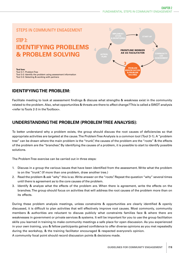

# **IDENTIFYING THE PROBLEM:**

Facilitate meeting to look at assessment findings & discuss what strengths & weakness exist in the community related to the problem. Also, what opportunities & threats are there to affect change? This is called a SWOT analysis <refer to Tools 2-3 in the Toolbox>.

# **UNDERSTANDING THE PROBLEM (PROBLEM TREE ANALYSIS):**

To better understand why a problem exists, the group should discuss the root causes of deficiencies so that appropriate activities are targeted at the cause. The Problem Tree Analysis is a common tool (Tool 3-1). A "problem tree" can be drawn where the main problem is the "trunk", the causes of the problem are the "roots" & the effects of the problem are the "branches". By identifying the causes of a problem, it is possible to start to identify possible solutions.

The Problem Tree exercise can be carried out in three steps:

- 1. Discuss in a group the various issues that have been identified from the assessment. Write what the problem is on the "trunk". (If more than one problem, draw another tree.)
- 2. Read the problem & ask "why" this is so. Write answer on the "roots". Repeat the question "why" several times until there is agreement as to the core causes of the problem.
- 3. Identify & analyze what the effects of the problem are. When there is agreement, write the effects on the branches. The group should focus on activities that will address the root causes of the problem more than on its effects.

During these problem analysis meetings, unless constraints & opportunities are clearly identified & openly discussed, it is difficult to plan activities that will effectively improve root causes. Most commonly, community members & authorities are reluctant to discuss publicly what constraints families face & where there are weaknesses in government or private services & systems. It will be important for you to use the group facilitation skills you learned in training to make community meetings a safe place for open discussion. As you experienced in your own training, you & fellow participants gained confidence to offer diverse opinions as you met repeatedly during the workshop, & the training facilitator encouraged & respected everyone's opinion. A community focal point should record discussion points & decisions made.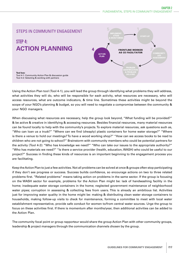

Using the Action Plan tool (Tool 4-1), you will lead the group through identifying what problems they will address, what activities they will do, who will be responsible for each activity, what resources are necessary, who will access resources, what are outcome indicators, & time line. Sometimes these activities might be beyond the scope of your NGO's planning & budget, so you will need to negotiate a compromise between the community & your NGO managers.

When discussing what resources are necessary, help the group look beyond, "What funding will be provided?" & be active & creative in identifying & accessing resources. Besides financial resources, many material resources can be found locally to help with the community's projects. To explore material resources, ask questions such as, "Who can loan us a truck?" "Where can we find (cheaply) plastic containers for home water storage?" "Where is there a venue to hold our meetings? To have a wood working shop?" "How can we access books to be read to children who are not going to school?" Brainstorm with community members who could be potential partners for the activity (Tool 4-2): "Who has knowledge we need?" "Who can take our issues to the appropriate authority?" "Who has materials we need?" "Is there a service provider (health, education, WASH) who could be useful to our project?" Success in finding these kinds of resources is an important beginning to the engagement process you are facilitating.

Keep the Action Plan to just a few activities. Not all problems can be solved at once & groups often stop participating if they don't see progress or success. Success builds confidence, so encourage actions on two to three related problems first. "Related problems" means taking action on problems in the same sector. If the group is focusing on the WASH sector for example, problems for the Action Plan might be: lack of handwashing facility in the home; inadequate water storage containers in the home; neglected government maintenance of neighborhood water pipes; corruption in assessing & collecting fees from users. This is already an ambitious list. Activities just for improving water quality in the home might be: making & distributing clean water storage containers to households, making follow-up visits to check for maintenance, forming a committee to meet with local water establishment representative, provide safe conduct for women to/from central water sources. Urge the group to focus on these activities first. If there is momentum after months/year, then additional activities can be added to the Action Plan.

The community focal point or group rapporteur would share the group Action Plan with other community groups, leadership & project managers through the communication channels chosen by the group.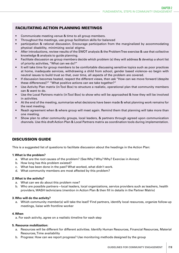### FACILITATING ACTION PLANNING MEETINGS

- Communicate meeting venue & time to all group members.
- Throughout the meetings, use group facilitation skills for balanced
- participation & rational discussion. Encourage participation from the marginalized by accommodating physical disability, minimizing social stigma.
- After introductions, review results of the SWOT analysis & the Problem Tree exercise & use that collective knowledge & analysis to guide planning.
- Facilitate discussion as group members decide which problem (s) they will address & develop a short list of priority activities, "What can we do?"
- It will take time for group members to be comfortable discussing sensitive topics such as poor practices at home, inadequate services, withdrawing a child from school, gender based violence--so begin with neutral issues to build trust so that, over time, all aspects of the problem are covered.
- If discussion becomes heated, respect the different views, then ask "How can we move forward (despite these differences)?" "What positive actions can we take together?"
- Use Activity Plan matrix (in Tool Box) to structure a realistic, operational plan that community members can & want to do.
- Use the Local Partners matrix (in Tool Box) to show who will be approached & how they will be involved in activities.
- At the end of the meeting, summarize what decisions have been made & what planning work remains for the next meeting.
- Reach agreement when & where group will meet again. Remind them that planning will take more than one meeting.
- Show plan to other community groups, local leaders, & partners through agreed upon communication channels. Use this draft Action Plan & Local Partners matrix as coordination tools during implementation.

### DISCUSSION GUIDE

This is a suggested list of questions to facilitate discussion about the headings in the Action Plan:

### **1. What is the problem?**

- a. What are the root causes of the problem? (See Why? Why? Why? Exercise in Annex)
- b. How long has this problem existed?
- c. What has been done in the past? What worked, what didn't work.
- d. What community members are most affected by this problem?

### **2. What is the activity?**

- a. What can we do about this problem now?
- b. Who are possible partners—local leaders, local organizations, service providers such as teachers, health providers, WASH technicians (mention in Action Plan & then fill in details in the Partner Matrix)

### **3. Who will do the activity?**

a. Which community member(s) will take the lead? Find partners, identify local resources, organize follow-up meetings, liaise with frontline worker

### **4. When**

a. For each activity, agree on a realistic timeline for each step

### **5. Resource mobilization:**

- a. Resources will be different for different activities. Identify Human Resources, Financial Resources, Material Resources, Time availability
- b. Progress: How can we report progress? Use monitoring methods designed by the group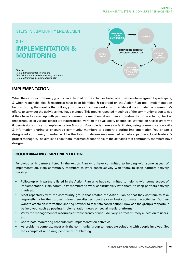### STEPS IN COMMUNITY ENGAGEMENT

# STEP 5: **IMPLEMENTATION & MONITORING**



**Tool box:**

Tool 5-1: Implementation time line Tool 5-2: Community-led monitoring indicators Tool 5-3: Community-led monitoring plan

### **IMPLEMENTATION**

When the various community groups have decided on the activities to do, when partners have agreed to participate, & when responsibilities & resources have been identified & recorded on the Action Plan tool, implementation begins. During the months that follow, your role as frontline worker is to facilitate & coordinate the community's efforts to carry out the activities they have planned. This means repeated meetings of the community group to see if they have followed up with partners & community members about their commitments to the activity, checked that schedules of various actors are synchronized, verified the availability of supplies, worked on necessary forms & permissions critical to implementation & so on. Your role is more as a facilitator, using communication skills & information sharing to encourage community members to cooperate during implementation. You and/or a designated community member will be the liaison between implemented activities, partners, local leaders & project managers. The aim is to keep them informed & supportive of the activities that community members have designed.

### COORDINATING IMPLEMENTATION

Follow-up with partners listed in the Action Plan who have committed to helping with some aspect of implementation. Help community members to work constructively with them, to keep partners actively involved.

- Follow-up with partners listed in the Action Plan who have committed to helping with some aspect of implementation. Help community members to work constructively with them, to keep partners actively involved.
- Meet repeatedly with the community group that created the Action Plan so that they continue to take responsibility for their project. Have them discuss how they can best coordinate the activities. Do they want to create an information sharing network to facilitate coordination? How can the group's rapporteur be involved, such as posting implementation news on social media platforms.
- Verify the management of resources & transparency of use—delivery, correct & timely allocation to users, etc.
- Coordinate monitoring schedule with implementation activities.
- As problems come up, meet with the community group to negotiate solutions with people involved. Set the example of remaining positive & not blaming.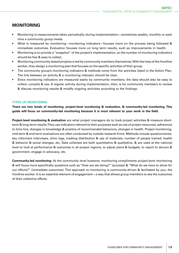# **MONITORING**

- Monitoring is measurements taken periodically during implementation—sometimes weekly, monthly or each time a community group meets.
- What is measured by monitoring—monitoring indicators—focuses more on the process being followed & immediate outcomes. Evaluation focuses more on long term results, such as improvements in health.
- Monitoring is to provide a "snapshot" of the project's implementation, so the number of monitoring indicators should be few & easy to collect.
- Monitoring community-based projects is led by community members themselves. With the help of the frontline worker, they design a monitoring plan that focuses on the specific activities of their group.
- The community group's monitoring indicators & methods come from the activities listed in the Action Plan. The link between an activity & a monitoring indicator should be clear.
- Since monitoring indicators are measured easily by community members, the data should also be easy to collect, compile & use. A regular activity during implementation, then, is for community members to review & discuss monitoring results & modify ongoing activities according to the findings.

### **TYPES OF MONITORING**

**There are two levels of monitoring: project-level monitoring & evaluation, & community-led monitoring. This guide will focus on community-led monitoring because it is most relevant to your work in the field.**

**Project-level monitoring & evaluation** are what project managers do to track project activities & measure shortterm & long-term results. They use indicators relevant to their purposes such as use of project resources, adherence to time line, changes in knowledge & practice of recommended behaviors, changes in health. Project monitoring, mid-term & end-term evaluations are often conducted by outside research firms. Methods include questionnaires, key informant interviews, clinic logs, tracking distribution & use of materials, number of people trained, health & behavior & social changes, etc. Data collected are both quantitative & qualitative, & are used at the national level to look at performance & outcomes in all project regions, to adjust plans & budgets, to report to donors & government, engage in advocacy, etc.

**Community-led monitoring:** At the community level however, monitoring compliments project-level monitoring & will focus more specifically questions such as "How are we doing?" (process) & "What do we have to show for our efforts?" (immediate outcomes). This approach to monitoring is community-driven & facilitated by you, the frontline worker. It is an essential element of engagement—a way that allows group members to see the outcomes of their collective efforts.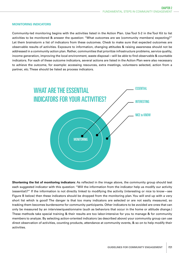#### **MONITORING INDICATORS**

Community-led monitoring begins with the activities listed in the Action Plan. Use Tool 5-2 in the Tool Kit to list activities to be monitored & answer the question: "What outcomes are we (community members) expecting?" Let them brainstorm a list of indicators from these outcomes. Check to make sure that expected outcomes are observable results of activities. Exposure to information, changing attitudes & raising awareness should not be addressed in a community action plan. Rather, communities that prioritize infrastructure problems, service quality, income generation, improving the local environment, waste disposal—will be able to find observable & countable indicators. For each of these outcome indicators, several actions are listed in the Action Plan were also necessary to achieve the outcome, for example: accessing resources, extra meetings, volunteers selected, action from a partner, etc. These should be listed as process indicators.



**Shortening the list of monitoring indicators:** As reflected in the image above, the community group should test each suggested indicator with this question: "Will the information from the indicator help us modify our activity (essential)?" If the information is not directly linked to modifying the activity (interesting or nice to know—see Figure B below) then these indicators should be dropped from the monitoring plan. You will end up with a very short list which is good! The danger is that too many indicators are selected or are not easily measured, so tracking them becomes burdensome for community participants. Other indicators to be avoided are ones that can only be measured by an interview/questionnaire (such as behaviors that occur in the home or attitude change.) These methods take special training & their results are too labor-intensive for you to manage & for community members to analyze. By selecting action-oriented indicators (as described above) your community group can use direct observation of activities, counting products, attendance at community events, & so on to help modify their activities.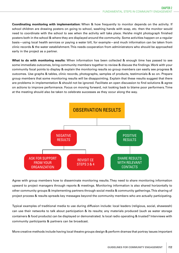**Coordinating monitoring with implementation:** When & how frequently to monitor depends on the activity. If school children are drawing posters on going to school, washing hands with soap, etc. then the monitor would need to coordinate with the school to see when the activity will take place. He/she might photograph finished posters both in the school & where they are displayed around the community. Some activities happen on a regular basis—using local health services or paying a water bill, for example—and much information can be taken from clinic records & the water establishment. This needs cooperation from administrators who should be approached early in the project as a partner.

**What to do with monitoring results:** When information has been collected & enough time has passed to see some immediate outcomes, bring community members together to review & discuss the findings. Work with your community focal points to display & explain the monitoring results so group members can easily see progress & outcomes. Use graphs & tables, clinic records, photographs, samples of products, testimonials & so on. Prepare group members that some monitoring results will be disappointing. Explain that these results suggest that there are problems in implementation & should not be ignored. Facilitate an open discussion to find solutions & agree on actions to improve performance. Focus on moving forward, not looking back to blame poor performers. Time at the meeting should also be taken to celebrate successes as they occur along the way.



Agree with group members how to disseminate monitoring results. They need to share monitoring information upward to project managers through reports & meetings. Monitoring information is also shared horizontally to other community groups & implementing partners through social media & community gatherings. This sharing of project process & results spreads key messages beyond the community members who are actually participating.

Typical examples of traditional media to use during diffusion include: local leaders (religious, social, shaweesh) can use their networks to talk about participation & its results; any materials produced (such as water storage containers & food products) can be displayed or demonstrated. Is local radio operating & trusted? Interviews with community participants & partners can be broadcast.

More creative methods include having local theatre groups design & perform dramas that portray issues important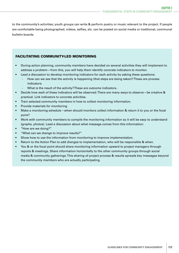to the community's activities; youth groups can write & perform poetry or music relevant to the project. If people are comfortable being photographed, videos, selfies, etc. can be posted on social media or traditional, communal bulletin boards.

### FACILITATING COMMUNITY-LED MONITORING

- During action planning, community members have decided on several activities they will implement to address a problem—from this, you will help them identify concrete indicators to monitor.
- Lead a discussion to develop monitoring indicators for each activity by asking these questions:
	- How can we see that the activity is happening (that steps are being taken)? These are process indicators.
	- What is the result of the activity? These are outcome indicators.
- Decide how each of these indicators will be observed. There are many ways to observe—be creative & practical. Link indicators to concrete activities.
- Train selected community members in how to collect monitoring information.
- Provide materials for monitoring
- Make a monitoring schedule—when should monitors collect information & return it to you or the focal point?
- Work with community members to compile the monitoring information so it will be easy to understand (graphs, photos). Lead a discussion about what message comes from this information:
- "How are we doing?"
- "What can we change to improve results?"
- Show how to use the information from monitoring to improve implementation.
- Return to the Action Plan to add changes to implementation, who will be responsible & when.
- You & or the focal point should share monitoring information upward to project managers through reports & meetings. Share information horizontally to the other community groups through social media & community gatherings. This sharing of project process & results spreads key messages beyond the community members who are actually participating.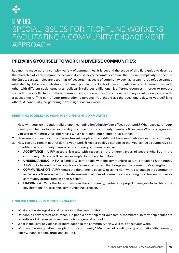

# CHAPTER 3: SPECIAL ISSUES FOR FRONTLINE WORKERS FACILITATING A COMMUNITY ENGAGEMENT APPROACH

### **PREPARING YOURSELF TO WORK IN DIVERSE COMMUNITIES:**

Lebanon is made up of a complex variety of communities. It is beyond the scope of this field guide to describe the character of each community because it could never accurately capture the unique complexity of each. In the Guide, case xamples are used that reflect certain aspects of community such as urban, rural, refugee camps inhabited by Lebanese, Palestinian & Syrian populations. Each of these populations are different from each other with different social structures, political & religious affiliations, & different resources. In order to prepare yourself to work effectively in these communities, you do not need to conduct a survey or interview people with a questionnaire. This part of your preparation is personal. You should ask the questions below to yourself & to others, & continually be gathering new insights as you work.

### **PREPARING YOURSELF TO WORK WITH DIFFERENT COMMUNITIES:**

- 1. How will your own gender/religion/political affiliation/ethnicity/age affect your work? What aspects of your identity will help or hinder your ability to connect with community members & leaders? What strategies can you use to minimize your differences & turn someone into a supportive partner?
- 2. Have you examined your own biases toward people who are different from you & who live in this community?
- 3. How can you remain neutral during your work & keep a positive attitude so that you can be as supportive as possible to all community members? In summary, continually strive for:
	- **• ACCEPTANCE** A FW accepts & treats with respect all the different types of people who live in the community. He/she will set an example for others to follow.
	- **• UNDERSTANDING** A FW is familiar & comfortable with the community's culture, limitations & strengths. A FW looks beyond his/her own biases & use an approach that brings out the community's strengths.
	- **• COMMUNICATION** A FW knows the right time to speak & uses the right words to engage the community in decisions & needed action. He/she ensures that lines of communication among local leaders & diverse community groups remain open & active.
	- **• LIAISON**  A FW is the liaison between the community, partners & project managers to facilitate the development process the community has chosen.

### **UNDERSTANDING COMMUNITY DYNAMICS:**

- What are the strongest social networks in the community?
- Do people know & trust each other? Do people only help their own family members? Do they help neighbors regardless of differences in religion, politics, general outlook?
- What is the level of violence or intimidation in the community? How will this affect your work?
- Who are the marginalized people in this community? Members of a religious group, nationality, women, elderly, handicapped, drug addicts, etc.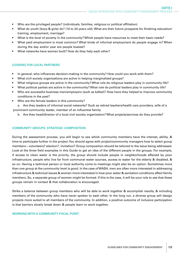- Who are the privileged people? (individuals, families, religious or political affiliation)
- What do youth (boys & girls) do? (14 to 24 years old). What are their future prospects for finishing education/ training, employment, marriage?
- What is the level of poverty in the community? Which people have resources to meet their basic needs?
- What paid employment is most common? What kinds of informal employment do people engage in? When during the day and/or year are people busiest?
- What networks have women built? How do they help each other?

### **LOOKING FOR LOCAL PARTNERS**

- In general, who influences decision-making in the community? How could you work with them?
- What civil society organizations are active in helping marginalized groups?
- What religious groups are active in the community? What role do religious leaders play in community life?
- What political parties are active in the community? What role do political leaders play in community life?
- Who are successful business men/employers (such as kafeel)? How have they helped to improve community conditions in the past?
- Who are the female leaders in this community?

a. Are they leaders of informal social networks? Such as retired teachers/health care providers, wife of a prominent community leader, member of an influential family

b. Are they head/director of a local civil society organization? What projects/services do they provide?

#### **COMMUNITY GROUPS: STRATEGIC COMPOSITION**

During the assessment process, you will begin to see which community members have the interest, ability, & time to participate further in the project. You should agree with project/community managers how to select group members—volunteers? election?, invitation? Group composition should be tailored to the issue being addressed. Look at the three field examples in this Guide to get an idea of the different people in the groups. For example, if access to clean water is the priority, the group should include people in neighborhoods affected by poor infrastructure, people who live far from communal water sources, access to water for the elderly & disabled, & so on. Having a technical person or local authority come to meetings might also be an option. Sometimes more than one group at the community level is good. In the case of WASH, men are often more interested in addressing infrastructure & technical issues & women more interested in how poor water & sanitation conditions affect family members. So, a separate group of women might be formed. If this is the case, it will be your role to see that these groups remain in contact & that collaboration is encouraged.

Strike a balance between group members who will be able to work together & accomplish results, & including members of the community who have never spoken to each other. In the long run, a diverse group will design projects more suited to all members of the community. In addition, a positive outcome of inclusive participation is that barriers slowly break down & people learn to work together.

### **WORKING WITH A COMMUNITY FOCAL POINT**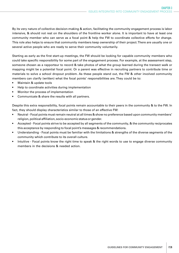By its very nature of collective decision-making & action, facilitating the community engagement process is labor intensive, & should not rest on the shoulders of the frontline worker alone. It is important to have at least one community member who can serve as a focal point & help the FW to coordinate collective efforts for change. This role also helps to ensure that community members keep ownership of their project. There are usually one or several active people who are ready to serve their community voluntarily.

Starting as early as the first start-up meetings, the FW should be looking for capable community members who could take specific responsibility for some part of the engagement process. For example, at the assessment step, someone chosen as a rapporteur to record & take photos of what the group learned during the transect walk or mapping might be a potential focal point. Or a parent was effective in recruiting partners to contribute time or materials to solve a school dropout problem. As these people stand out, the FW & other involved community members can clarify (written) what the focal points' responsibilities are. They could be to:

- Maintain & update tools
- Help to coordinate activities during implementation
- Monitor the process of implementation
- Communicate & share the results with all partners.

Despite this extra responsibility, focal points remain accountable to their peers in the community & to the FW. In fact, they should display characteristics similar to those of an effective FW:

- Neutral Focal points must remain neutral at all times & show no preference based upon community members' religion, political affiliation, socio-economic status or gender.
- Accepted Focal points strive to be accepted by all segments of the community, & the community reciprocates this acceptance by responding to focal point's messages & recommendations.
- Understanding Focal points must be familiar with the limitations & strengths of the diverse segments of the community which contribute to its overall culture.
- Intuitive Focal points know the right time to speak & the right words to use to engage diverse community members in the decisions & needed action.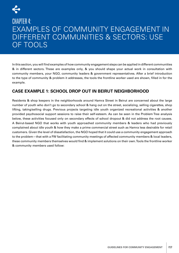

# CHAPTER 4: EXAMPLES OF COMMUNITY ENGAGEMENT IN DIFFERENT COMMUNITIES & SECTORS: USE OF TOOLS

In this section, you will find examples of how community engagement steps can be applied in different communities & in different sectors. These are examples only, & you should shape your actual work in consultation with community members, your NGO, community leaders & government representatives. After a brief introduction to the type of community & problem it addresses, the tools the frontline worker used are shown, filled in for the example.

# **CASE EXAMPLE 1: SCHOOL DROP OUT IN BEIRUT NEIGHBORHOOD**

Residents & shop keepers in the neighborhoods around Hamra Street in Beirut are concerned about the large number of youth who don't go to secondary school & hang out on the street, socializing, selling cigarettes, shop lifting, taking/selling drugs. Previous projects targeting idle youth organized recreational activities & another provided psychosocial support sessions to raise their self-esteem. As can be seen in the Problem Tree analysis below, these activities focused only on secondary effects of school dropout & did not address the root causes. A Beirut-based NGO that works with youth approached community members & leaders who had previously complained about idle youth & how they make a prime commercial street such as Hamra less desirable for retail customers. Given the level of dissatisfaction, the NGO hoped that it could use a community engagement approach to the problem—that with a FW facilitating community meetings of affected community members & local leaders, these community members themselves would find & implement solutions on their own. Tools the frontline worker & community members used follow: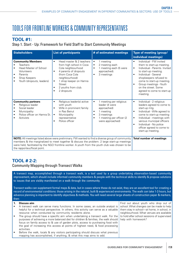# TOOLS FOR FRONTLINE WORKERS & COMMUNITY REPRESENTATIVES

### **TOOL #1:**

### Step 1. Start - Up: Framework for Field Staff to Start Community Meetings

| <b>Stakeholders</b>                                                                                                                     | <b>List of participants</b>                                                                                                                                                                                                                                                                          | # of estimated meetings                                                                                                                                                                 | Type of meeting (group/<br>individual meetings)                                                                                                                                                                                                                                                                   |  |
|-----------------------------------------------------------------------------------------------------------------------------------------|------------------------------------------------------------------------------------------------------------------------------------------------------------------------------------------------------------------------------------------------------------------------------------------------------|-----------------------------------------------------------------------------------------------------------------------------------------------------------------------------------------|-------------------------------------------------------------------------------------------------------------------------------------------------------------------------------------------------------------------------------------------------------------------------------------------------------------------|--|
| <b>Community Members</b><br>Teachers<br>Head Master of School<br>Volunteers<br>Parents<br>Shop Keepers<br>Youth (dropouts, leaders)     | Head master & 2 teachers<br>$\bullet$<br>from high school in Coca<br>Cola neighbourhood<br>4 parents of dropouts<br>$\bullet$<br>(from Coca Cola<br>neighbourhood)<br>1 shop keeper on Hamra<br>$\bullet$<br><b>Street</b><br>2 youths from club.<br>$\bullet$<br>2 dropouts<br>$\bullet$            | 1 meeting<br>$\bullet$<br>2 meeting each<br>$\bullet$<br>1 meeting each (5 were<br>$\bullet$<br>approached).<br>3 meetings<br>$\bullet$                                                 | Individual - FW invited<br>them to start-up meeting.<br>Individual - Parents, Invited<br>$\bullet$<br>to start-up meeting.<br>Individual - Several<br>$\bullet$<br>shopkeepers refused to<br>come to start-up meeting.<br>Group meetings - Youth<br>on the street. Some<br>agreed to come to start-up<br>meeting. |  |
| <b>Community partners</b><br>Religious leader<br>Social leader<br>Municipality<br>$\bullet$<br>Police officer on Hamra St.<br>Activists | Religious leader(s) active<br>$\bullet$<br>with youth<br>Wife in prominent family<br>$\bullet$<br>in Ras Beirut<br>Municipality<br>$\bullet$<br>representative<br>Police officer<br>$\bullet$                                                                                                        | 1 meeting per religious<br>$\bullet$<br>leader (4 were<br>approached)<br>1 meeting<br>$\bullet$<br>3 meetings<br>$\bullet$<br>1 meeting per officer (2<br>$\bullet$<br>were approached) | Individual - 2 religious<br>$\bullet$<br>leaders agreed to come to<br>start-up mtg.<br>Individual - Wife agreed to<br>come to start-up meeting<br>Individual - meetings with<br>$\bullet$<br>various municipal officers<br>Individual - No police<br>$\bullet$<br>officer agreed to come to<br>start-up meeting.  |  |
| the rapporteur/focal point.                                                                                                             | NOTE: All meetings listed above were preliminary. FW wanted to find a diverse group of community<br>members & the marginalized to meet together & discuss the problem. 2 large start-up meetings<br>were held, facilitated by the NGO frontline worker. A youth from the youth club was chosen to be |                                                                                                                                                                                         | <b>Total number of meetings</b>                                                                                                                                                                                                                                                                                   |  |

# **TOOL # 2-2:**

### Community Mapping through Transect Walks

A transect map, accomplished through a transect walk, is a tool used by a group undertaking observation-based community improvement, which should include informed community members & people with the technical skills to identify & propose solutions to issues that are visibly manifested on a walk through the community.

Transect walks can supplement formal maps & data, but in cases where these do not exist, they are an excellent tool for creating a record of environmental conditions: those arising in the natural, built & experienced environments. The walk can take 1-3 hours, but advance planning is important to identify objectives & methods. You will need several large sheets of construction paper & markers, then:

### **1. Discuss aim**

- A transect walk can serve many functions. In some cases, an outside analyst is helpful for a technical perspective. In others, this activity can serve as a valuable resource when conducted by community residents alone.
- The group should have a specific aim when undertaking a transect walk. For the purposes of achieving a more balanced diet for children & families, the walk should focus on family access to & use of garden plots, access to purchasing food with the goal of increasing this access at points of highest need, & food processing activities.
- Before the walk, locals & any visitors participating should discuss what previous mapping has accomplished, if anything, & what this map aims to add.

Find out about youth who drop out of school. What changes can be made to help them stay in school—at home, in school, in neighbourhood. What venues are available to hold after school sessions of supervised help with homework?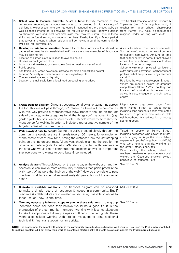| 2.                                                                                                         | Select local & technical analysts, & set a time: Identify members of the<br>community knowledgeable about each area to be covered & with a variety of<br>opinions & experiences, who are interested in conducting the transect walk, as<br>well as those interested in analysing the results of the walk. Identify outsider<br>collaborators with additional technical skills that may be useful, should these<br>skills not be found among community members. Finally, identify a 3-hour period<br>that serves all groups & when residents will be moving around the community &<br>available for conversation.                      | Two (2) NGO frontline workers, 3 youth &<br>2 parents (from Cola neighbourhood), 1<br>teacher from target school, 1shopkeeper<br>from Hamra St., Cola neighbourhood<br>religious leader working with youth.                                                                                                                                                                                                                                                                                                                                                                                                                            |
|------------------------------------------------------------------------------------------------------------|---------------------------------------------------------------------------------------------------------------------------------------------------------------------------------------------------------------------------------------------------------------------------------------------------------------------------------------------------------------------------------------------------------------------------------------------------------------------------------------------------------------------------------------------------------------------------------------------------------------------------------------|----------------------------------------------------------------------------------------------------------------------------------------------------------------------------------------------------------------------------------------------------------------------------------------------------------------------------------------------------------------------------------------------------------------------------------------------------------------------------------------------------------------------------------------------------------------------------------------------------------------------------------------|
| 3.<br>$\bullet$<br>$\bullet$<br>$\bullet$<br>$\bullet$<br>$\bullet$<br>$\bullet$<br>$\bullet$<br>$\bullet$ | <b>Develop criteria for observation:</b> Make a list of the information that should be<br>gathered to meet the aim established in #1. Here are some examples of things you<br>may be looking for:<br>Location of garden plots in relation to owner's house<br>Houses without garden plots<br>Local open air markets, grocery stores & other retail sources of food<br>Public spaces<br>Sanitation (e.g. water, sewerage, garbage collection & blockage points)<br>Location & quality of water sources vis a vis garden plots<br>Contaminated spaces, soil quality<br>Location of small-scale farms, local food processing enterprises | Access to school from poor households.<br>Visit homes of dropouts: home environment<br>to support homework. Amount of time<br>that neither parent is home. (If not allowed<br>access to youth's home, team should draw<br>location of home on map.)<br>School environment: physical, curriculum,<br>extra-curricular activities? Teacher/student<br>profiles. What are positive things teachers<br>can do?<br>Relations between shopkeepers & youth.<br>Where are meeting points for dropouts<br>along Hamra Street.? What do they do?<br>Location of youth-friendly venues such<br>as youth club, mosque or church, sports<br>centre. |
| 4.                                                                                                         | <b>Create transect diagram:</b> On construction paper, draw a horizontal line across<br>the top. This line will pass through, or "transect," all areas of the community<br>& in this way provide a representative view. Beneath the line on the left<br>side of the page, write categories for all the things you'll be observing (e.g.<br>garden plots, houses, water sources, etc.). Decide which route makes the<br>most sense for walking in order to include a representative sample of the<br>targeted areas of the community                                                                                                   | Map made on large brown paper. Drew<br>from Hamra Street to target school<br>including hang out spots, shops frequented<br>by youth, & possible resources in Cola<br>neighbourhood. Marked location of house/<br>apt of dropout.                                                                                                                                                                                                                                                                                                                                                                                                       |
| 5.                                                                                                         | Walk slowly & talk to people: During the walk, proceed slowly through the<br>community. Stop either at set intervals (every 100 meters, for example), or<br>at the centre of each new zone, noting the distance from the last stopping<br>point on the line on your map. All analysts should examine the area for the<br>observation criteria (established in #3), stopping to talk with residents in<br>the area who would like to contribute their opinions as well. It is important<br>that everyone who wants to contribute & be included.                                                                                        | Talked to people on Hamra Street.<br>including policemen who cover the street,<br>youth hanging out, & youth in clubs. Talked<br>to parents in youths' neighbourhood (Cola)<br>who were running errands, working: on<br>the street, office, shop, taxi.<br>When visiting the school, talked to<br>teachers, head master, school nurse, social<br>worker, etc. Observed physical lay-out,<br>behaviour of students, etc.                                                                                                                                                                                                                |
| 6.                                                                                                         | Analyse diagram: This could occur on the same day as the walk, or on another<br>occasion, & can involve more community members than participated in the<br>walk itself. What were the findings of the walk? How do they relate to past<br>conclusions, & to resident & external analysts' perceptions of the issues at<br>hand?                                                                                                                                                                                                                                                                                                       | See CE Step 3                                                                                                                                                                                                                                                                                                                                                                                                                                                                                                                                                                                                                          |
| 7.                                                                                                         | Brainstorm available solutions: The transect diagram can be analysed<br>to make a simple record of resources & issues in a community. But if<br>residents & collaborators are interested in discussing possible solutions to<br>these issues, now is the time.                                                                                                                                                                                                                                                                                                                                                                        | See CE Step 3                                                                                                                                                                                                                                                                                                                                                                                                                                                                                                                                                                                                                          |
| 8.                                                                                                         | Take any necessary follow-up steps to pursue those solutions: If the group<br>identifies some solutions they believe would be a good fit, it is the<br>prerogative of the community members, working with local gatekeepers<br>to take the appropriate follow-up steps as outlined in the field guide. These<br>might also include working with project managers to bring additional<br>technical & financial support for an activity.                                                                                                                                                                                                | See CE Step 4                                                                                                                                                                                                                                                                                                                                                                                                                                                                                                                                                                                                                          |

**NOTE:** The assessment team met with others in the community group to discuss Transect Walk results. They used the Problem Tree tool, but formatting problems did not allow their work to be entered electronically. The table below summarizes the Problem Tree discussion.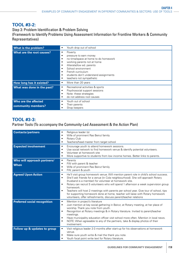### **TOOL #3-2:**

Step 3: Problem Identification & Problem Solving (Framework to Identify Problems Using Assessment Information for Frontline Workers & Community Representatives)

| What is the problem?                       | Youth drop out of school<br>٠                                                                                                                                                                                                                                                                               |
|--------------------------------------------|-------------------------------------------------------------------------------------------------------------------------------------------------------------------------------------------------------------------------------------------------------------------------------------------------------------|
| What are the root causes?                  | Poverty<br>٠<br>pressure to earn money<br>٠<br>no time/space at home to do homework<br>٠<br>working parents not at home<br>٠<br>illiterate/low ed. parents<br>٠<br>School environment<br>٠<br>French curriculum<br>٠<br>students don't understand assignments<br>$\bullet$<br>teachers not sympathetic<br>٠ |
| How long has it existed?                   | More than 20 years<br>٠                                                                                                                                                                                                                                                                                     |
| What was done in the past?                 | Recreational activities & sports<br>٠<br>Psychosocial support sessions<br>٠<br>Note: these strategies<br>٠<br>do not address root causes<br>٠                                                                                                                                                               |
| Who are the affected<br>community members? | Youth out of school<br>٠<br>Their parents<br>6<br>Shop keepers<br>$\bullet$                                                                                                                                                                                                                                 |

# **TOOL #3-3:**

### Partner Tools (To accompany the Community-Led Assessment & the Action Plan)

| <b>Contacts/partners</b>                   | Religious leader (s)<br>٠<br>Wife of prominent Ras Beirut family<br>$\bullet$<br>Rotary Club<br>$\bullet$<br>Teachers/head master from target school<br>$\bullet$                                                                                                                                                                                                                                                                                                                                                                                                                                                                         |
|--------------------------------------------|-------------------------------------------------------------------------------------------------------------------------------------------------------------------------------------------------------------------------------------------------------------------------------------------------------------------------------------------------------------------------------------------------------------------------------------------------------------------------------------------------------------------------------------------------------------------------------------------------------------------------------------------|
| <b>Expected involvement</b>                | Encourage youth to attend homework sessions.<br>$\bullet$<br>Use social network to find homework venue & identify potential volunteers.<br>$\bullet$<br>Volunteer at homework site<br>٠<br>More supportive to students from low income homes. Better links to parents.<br>$\bullet$                                                                                                                                                                                                                                                                                                                                                       |
| Who will approach partners/<br><b>When</b> | Parents<br>$\bullet$<br>FW with parent & teacher<br>٠<br>Wife of prominent Ras Beirut family<br>٠<br>FW, parent & youth<br>$\bullet$                                                                                                                                                                                                                                                                                                                                                                                                                                                                                                      |
| <b>Agreed Upon Action</b>                  | He'll visit group homework venue. Will mention parent role in child's school success.<br>$\bullet$<br>She'll ask friends for a venue (in Cola neighbourhood). She will approach Rotary<br>$\bullet$<br>(husband is a member) for volunteer at homework site.<br>Rotary can recruit 5 volunteers who will spend 1 afternoon a week supervision group<br>$\bullet$<br>homework.<br>Teachers will host 2 meetings with parents per school year. Give tour of school, tips<br>$\bullet$<br>for supporting homework done at home, teacher will liaise with Rotary homework<br>volunteers, offer refreshments, discuss parent/teacher relations |
| <b>Preferred social recognition</b>        | Mention in project's literature<br>$\bullet$<br>Just mention at key social gathering in Beirut, at Rotary meeting, at her place of<br>$\bullet$<br>worship. Thank you note from youth.<br>Recognition at Rotary meetings & in Rotary literature. Invited to parent/teacher<br>٠<br>meetings.<br>Have municipality education officer visit school more often. Mention in local news.<br>$\bullet$<br>NOTE: When agreeable to any of the partners, take & display photos of their<br>$\bullet$<br>involvement.                                                                                                                              |
| Follow up & updates to group               | Visit religious leader 2-3 months after start-up for his observations at homework<br>$\bullet$<br>venue.<br>Make sure youth write & mail the thank you note.<br>٠<br>Youth focal point write text for Rotary literature.                                                                                                                                                                                                                                                                                                                                                                                                                  |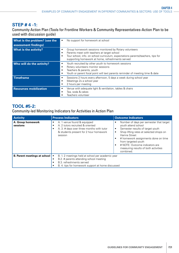### **STEP # 4 -1:**

Community Action Plan (Tools for Frontline Workers & Community Representatives-Action Plan to be used with discussion guide)

| What is the problem? (use the<br>assessment findings) | No support for homework at school                                                                                                                                                                                                                            |
|-------------------------------------------------------|--------------------------------------------------------------------------------------------------------------------------------------------------------------------------------------------------------------------------------------------------------------|
| <b>What is the activity?</b>                          | Group homework sessions monitored by Rotary volunteers<br>٠<br>Parents meet with teachers at target school<br>٠<br>Tour school, info. on school curriculum, expectations parents/teachers, tips for<br>٠<br>supporting homework at home, refreshments served |
| Who will do the activity?                             | Youth recruited by other youth to homework sessions<br>٠<br>Rotary volunteers monitor sessions<br>٠<br>Teachers & parents, youth<br>٠<br>Youth or parent focal point will text parents reminder of meeting time & date<br>٠                                  |
| <b>Timeframe</b>                                      | Sessions 2 hours every afternoon, 5 days a week during school year<br>٠<br>Meetings 2x a school year<br>٠<br>2 hours per meeting<br>٠                                                                                                                        |
| <b>Resources mobilization</b>                         | Venue with adequate light & ventilation, tables & chairs<br>Tea, soda & cakes<br>Teachers volunteer                                                                                                                                                          |

# **TOOL #5-2:**

Community-led Monitoring Indicators for Activities in Action Plan

| <b>Activity</b>                     | <b>Process Indicators</b>                                                                                                                                                           | <b>Outcome Indicators</b>                                                                                                                                                                                                                                                                                                    |
|-------------------------------------|-------------------------------------------------------------------------------------------------------------------------------------------------------------------------------------|------------------------------------------------------------------------------------------------------------------------------------------------------------------------------------------------------------------------------------------------------------------------------------------------------------------------------|
| A. Group homework<br>sessions       | A. 1 venue found & equipped<br>٠<br>A. 2 tutors recruited & oriented<br>$\bullet$<br>A. 3. # days over three months with tutor<br>& students present for 2 hour homework<br>session | Number of days per semester that target<br>youth attend school<br>Semester results of target youth<br>٠<br>Shop lifting rates at selected shops on<br>٠<br>Hamra Street<br># homework assignments done on time<br>from targeted youth<br># NOTE: Outcome indicators are<br>measuring results of both activities<br>combined. |
| <b>B. Parent meetings at school</b> | B. 1. 2 meetings held at school per academic year<br>B.2. # parents attending school meeting<br>B.3. refreshments served<br>٠<br>B. 4. tips for homework support at home discussed  |                                                                                                                                                                                                                                                                                                                              |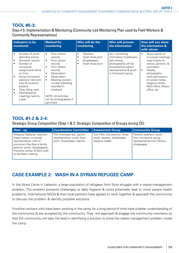# **TOOL #5-3:**

Step # 5: Implementation & Monitoring (Community-Led Monitoring Plan used by Field Workers & Community Representatives)

| Indicators to be<br>monitored                                                                                                                                                                                                                                             | <b>Method for</b><br>monitoring                                                                                                                                                                                                                                                                                          | Who will do the<br>monitoring                                                         | <b>Who will process</b><br>the information                                                                                                               | How will you share<br>the information &<br>with whom                                                                                                                                                                                           |
|---------------------------------------------------------------------------------------------------------------------------------------------------------------------------------------------------------------------------------------------------------------------------|--------------------------------------------------------------------------------------------------------------------------------------------------------------------------------------------------------------------------------------------------------------------------------------------------------------------------|---------------------------------------------------------------------------------------|----------------------------------------------------------------------------------------------------------------------------------------------------------|------------------------------------------------------------------------------------------------------------------------------------------------------------------------------------------------------------------------------------------------|
| Number of youth<br>attending school<br>Semester results<br>Number of<br>$\bullet$<br>homework<br>assignments done<br>on time<br>Group homework<br>sessions held with<br>tutor & students<br>present<br>Shop lifting rates<br>Parent/teacher<br>meetings held 2x<br>a year | From school<br>$\bullet$<br>records<br>From school<br>$\bullet$<br>records<br>From School<br>$\bullet$<br>records<br>Observation<br>$\bullet$<br>Observation<br>$\bullet$<br>Meeting content,<br>$\bullet$<br>number attending<br>recorded in<br>notebook<br>NOTE: All activities<br>can be photographed if<br>permitted | <b>Teachers</b><br>$\bullet$<br>Youth focal point<br>Shopkeepers<br>Youth focal point | ALL monitoring<br>information (notebooks,<br>tally sheets,<br>photographs) will be<br>processed by parent<br>representative & youth<br>in homework group | Show results at<br>٠<br>municipal meetings,<br>head master at<br>school, partners, &<br>volunteers.<br>Display<br>$\bullet$<br>photographs<br>(with permission)<br>on social media,<br>religious centre,<br>NGO office, Rotary<br>office, etc. |

# **TOOL #1-2 & 2-4:**

Strategic Group Composition (Step 1 & 2: Strategic Composition of Groups during CE)

| Start - up                                                                                                                                                                                                  | <b>Coordination Committee</b>                                                           | <b>Assessment Group</b>                                                        | <b>Community Group</b>                                                                        |
|-------------------------------------------------------------------------------------------------------------------------------------------------------------------------------------------------------------|-----------------------------------------------------------------------------------------|--------------------------------------------------------------------------------|-----------------------------------------------------------------------------------------------|
| Religious leader(s), teachers<br>/head master, municipal<br>representative, wife of<br>prominent Ras Beirut family,<br>parents, youth, shopkeepers<br>Frontline worker & NGO staff<br>to facilitate meeting | FW, municipal rep., parent<br>representative, youth focal<br>point, shopkeeper, teacher | Two FWs, two parents, three<br>youth, teacher, shopkeeper,<br>religious leader | Parents, teachers, youth<br>from homework group,<br>representative from Rotary,<br>shopkeeper |

# **CASE EXAMPLE 2: WASH IN A SYRIAN REFUGEE CAMP**

In the Akara Camp in Lebanon, a large population of refugees from Syria struggle with a waste management problem. The problem presents challenges to daily hygiene & could potentially lead to more severe health problems. International NGOs & their local partners have agreed to work together & approach the community to discuss the problem & identify possible solutions.

Frontline workers who have been working in the camp for a long period of time have a better understanding of the community & are accepted by the community. They will approach & engage the community members so that the community will take the lead in identifying a solution to solve the waste management problem inside the camp.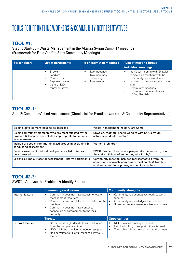# TOOLS FOR FRONTLINE WORKERS & COMMUNITY REPRESENTATIVES

# **TOOL #1:**

Step 1: Start-up - Waste Management in the Akaraa Syrian Camp (17 meetings) (Framework for Field Staff to Start Community Meetings)

| <b>Stakeholders</b> | <b>List of participants</b>                                                                       | # of estimated meetings                                    | Type of meeting (group/<br>individual meetings)                                                                                                                                                                  |
|---------------------|---------------------------------------------------------------------------------------------------|------------------------------------------------------------|------------------------------------------------------------------------------------------------------------------------------------------------------------------------------------------------------------------|
|                     | Shawish<br>Landlord<br>Community<br>Representatives<br>Others NGO<br>$\bullet$<br>representatives | Two meetings<br>Two meetings<br>5 meetings<br>Two meetings | Individual meeting with Shawish<br>to discuss a meeting with the<br>community representatives<br>Landlord to discuss access to the<br>land<br>Community meetings<br>Community Representatives,<br>NGOs, Shawish, |

# **TOOL #2-1:**

Step 2: Community's Led Assessment (Check List for Frontline workers & Community Representatives)

| Select a development issue to be assessed                                                                                               | Waste Management inside Akara Camp                                                                                                                               |
|-----------------------------------------------------------------------------------------------------------------------------------------|------------------------------------------------------------------------------------------------------------------------------------------------------------------|
| Select community members who are most affected by the<br>problem & technical specialists as appropriate to participate<br>in assessment | Shwaish, mothers, health workers with NGOs, youth<br>activists, students, landlord                                                                               |
| Include of people from marginalized groups in designing &<br>conducting assessment                                                      | Women & children                                                                                                                                                 |
| Select assessment method (s) & prepare a list of issues to<br>be addressed                                                              | SWOT, Problem Tree, where people take the waste to, how<br>they take it & how often do they take & why?                                                          |
| Logistics, Time & Place for assessment—inform participants                                                                              | Community meeting included representatives from the<br>community, shawish, community focal points & frontline<br>workers, youth focal points, women focal points |

# **TOOL #2-3:**

### SWOT - Analyse the Problem & Identify Resources

|                         | <b>Community weaknesses</b>                                                                                                                                                                                                      | <b>Community strengths</b>                                                                                                                              |  |  |
|-------------------------|----------------------------------------------------------------------------------------------------------------------------------------------------------------------------------------------------------------------------------|---------------------------------------------------------------------------------------------------------------------------------------------------------|--|--|
| Internal factors        | Community does not have access to waste<br>management resources<br>Community does not take responsibility for the<br>٠<br>problem<br>Community does not have sentence<br>٠<br>connection or commitment to the local<br>authority | Community representatives ready to work<br>together<br>Community acknowledges the problem<br>$\bullet$<br>Some community members like to volunteer<br>٠ |  |  |
|                         | <b>Threats</b>                                                                                                                                                                                                                   | <b>Opportunities</b>                                                                                                                                    |  |  |
| <b>External factors</b> | Government might decide to evict refugees<br>٠<br>from the camp at any time<br>NGO might not provide the needed support<br>٠<br>No one wants to take full responsibility to fix<br>$\bullet$<br>the problem                      | NGO provides funding if needed<br>٠<br>Landlord willing to support if there is need<br>٠<br>The problem is acknowledged by all partners<br>٠            |  |  |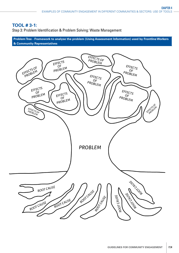## **TOOL # 3-1:**

Step 3: Problem Identification & Problem Solving: Waste Management

**Problem Tree - Framework to analyse the problem (Using Assessment Information) used by Frontline Workers & Community Representatives** 

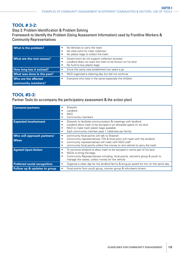### **TOOL # 3-2:**

Step 3: Problem Identification & Problem Solving Framework to Identify the Problem (Using Assessment Information) used by Frontline Workers & Community Representatives

| What is the problem?       | No Vehicles to carry the trash<br>٠<br>No clear point for trash collection<br>٠<br>No plastic bags to collect the trash<br>$\bullet$                            |  |
|----------------------------|-----------------------------------------------------------------------------------------------------------------------------------------------------------------|--|
| What are the root causes?  | Government do not support collection process<br>٠<br>Landlord does not want the trash to be thrown on his land<br>$\bullet$<br>No fund to buy plastic bags<br>٠ |  |
| How long has it existed?   | Since the camp was established two years a go                                                                                                                   |  |
| What was done in the past? | NGO organized a cleaning day, but did not continue<br>$\bullet$                                                                                                 |  |
| Who are the affected       | Everyone who lives in the camp especially the children<br>$\bullet$                                                                                             |  |
| community members?         |                                                                                                                                                                 |  |

# **TOOL #3-3:**

Partner Tools (to accompany the participatory assessment & the action plan)

| <b>Contacts/partners</b>                   | Shawish<br>Landlord<br><b>NGO</b><br>Community members<br>٠                                                                                                                                                                                                                     |
|--------------------------------------------|---------------------------------------------------------------------------------------------------------------------------------------------------------------------------------------------------------------------------------------------------------------------------------|
| <b>Expected involvement</b>                | Shawish to facilitate communication & meetings with landlord<br>٠<br>Landlord allow trash to be dumped in an allocated space on his land<br>٠<br>NGO to make trash plastic bags available<br>٠<br>Each community member pays 1 Lebanese per family<br>٠                         |
| Who will approach partners/<br><b>When</b> | community focal points will talk to Shawish<br>٠<br>Community representatives, FW & focal point will meet with the landlord<br>٠<br>community representatives will meet with NGO staff<br>٠<br>community focal points collect the money to rent vehicle to carry the trash<br>٠ |
| <b>Agreed Upon Action</b>                  | To convince landlord to allow trash to be dumped in some part of his land<br>٠<br>NGOs to bring the bags<br>٠<br>Community Representatives including, focal points, women's group & youth to<br>٠<br>manage the waste, collect money for the vehicle                            |
| <b>Preferred social recognition</b>        | Organize a clean day for the landlord farms & bring an award for him on the same day.                                                                                                                                                                                           |
| Follow up & updates to group               | Focal points from youth group, women group & volunteers drivers                                                                                                                                                                                                                 |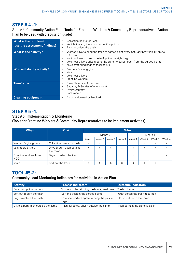# **STEP # 4 -1:**

Step # 4: Community Action Plan (Tools for Frontline Workers & Community Representatives - Action Plan to be used with discussion guide)

| What is the problem?<br>(use the assessment findings) | Collection points for trash<br>٠<br>Vehicle to carry trash from collection points<br>٠<br>Bags to collect the trash<br>٠                                                                                                                                                                                   |
|-------------------------------------------------------|------------------------------------------------------------------------------------------------------------------------------------------------------------------------------------------------------------------------------------------------------------------------------------------------------------|
| <b>What is the activity?</b>                          | Women have to bring the trash to agreed point every Saturday between 11: am to<br>٠<br>$5:00 \text{ pm}$<br>Youth will work to sort waste & put in the right bag<br>٠<br>Volunteer drivers drive around the camp to collect trash from the agreed points<br>٠<br>NGO staff bring bags to focal points<br>٠ |
| Who will do the activity?                             | Mothers & young girls<br>٠<br>Youth<br>Volunteer drivers<br>Frontline workers<br>٠                                                                                                                                                                                                                         |
| <b>Timeframe</b>                                      | Every Saturday of the week<br>٠<br>Saturday & Sunday of every week<br>٠<br>Every Saturday<br>٠<br>Each month<br>$\bullet$                                                                                                                                                                                  |
| <b>Cleaning equipment</b>                             | A space donated by landlord                                                                                                                                                                                                                                                                                |

### **STEP # 5 -1:**

Step # 5: Implementation & Monitoring (Tools for Frontline Workers & Community Representatives to be implement activities)

| <b>When</b>                          | <b>What</b>                            | <b>Who</b> |          |        |          |          |          |        |          |
|--------------------------------------|----------------------------------------|------------|----------|--------|----------|----------|----------|--------|----------|
|                                      |                                        | Month 2    |          |        | Month 1  |          |          |        |          |
|                                      |                                        | Week 1     | Week 2   | Week 3 | Week 4   | Week     | Week 2   | Week 3 | Week $4$ |
| Women & girls groups                 | Collection points for trash            | $\times$   | $\times$ | X      | X        | X        | X        | X      | X        |
| Volunteers drivers                   | Drive & burn trash outside<br>the camp | X          | X        | X      | X        | X        | $\times$ | X      | X        |
| Frontline workers from<br><b>NGO</b> | Bags to collect the trash              |            |          |        | X        | $\times$ |          |        | X        |
| Youth                                | Sort out the trash                     | X          | X        | X      | $\times$ | X        | X        | X      | X        |

# **TOOL #5-2:**

### Community Lead Monitoring Indicators for Activities in Action Plan

| <b>Activity</b>                     | <b>Process indicators</b>                                     | <b>Outcome indicators</b>         |
|-------------------------------------|---------------------------------------------------------------|-----------------------------------|
| Collection points for trash         | Women collect & bring trash to agreed point   Trash collected |                                   |
| Sort out & burn the trash           | Sort the trash in the agreed points                           | Youth sorted the trash & burnt it |
| Bags to collect the trash           | Frontline workers agree to bring the plastic<br>bags          | Plastic deliver to the camp       |
| Drive & burn trash outside the camp | Trash collected, driven outside the camp                      | Trash burnt & the camp is clean   |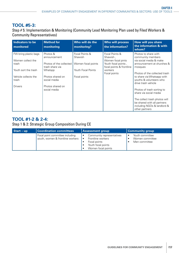# **TOOL #5-3:**

Step # 5: Implementation & Monitoring (Community Lead Monitoring Plan used by Filed Workers & Community Representatives)

| Indicators to be<br>monitored                       | <b>Method for</b><br>monitoring                     | Who will do the<br>monitoring?                  | <b>Who will process</b><br>the information?                            | <b>How will you share</b><br>the information & with<br>whom?                                                  |
|-----------------------------------------------------|-----------------------------------------------------|-------------------------------------------------|------------------------------------------------------------------------|---------------------------------------------------------------------------------------------------------------|
| FW bring plastic bags<br>Women collect the<br>trash | Photos &<br>announcement<br>Photos of the collected | Focal Points &<br>Shawish<br>Women focal points | Focal Points &<br>Shawish,<br>Women focal pints<br>Youth focal points, | Photos to share with<br>community members<br>via social media & make<br>announcement at churches &            |
| Youth sort the trash                                | trash share via<br>Whatspp                          | <b>Youth Focal Points</b>                       | focal points & frontline<br>workers<br>Focal points                    | mosques<br>Photos of the collected trash                                                                      |
| Vehicle collects the<br>trash                       | Photos shared on<br>social media                    | Focal points                                    |                                                                        | to share via Whatsapp with<br>youths & volunteers who<br>drive trash vehicle                                  |
| <b>Drivers</b>                                      | Photos shared on<br>social media                    |                                                 |                                                                        | Photos of trash sorting to<br>share via social media                                                          |
|                                                     |                                                     |                                                 |                                                                        | The collect trash photos will<br>be shared with all partners<br>including NGOs & landlord &<br>other partners |

# **TOOL #1-2 & 2-4:**

Step 1 & 2: Strategic Group Composition During CE

| $\vert$ Start – up | <b>Coordination committees</b>                                      | <b>Assessment group</b>                                                                                    | <b>Community group</b>                                           |  |
|--------------------|---------------------------------------------------------------------|------------------------------------------------------------------------------------------------------------|------------------------------------------------------------------|--|
|                    | Focal point committee including<br>youth, women & frontline workers | Community representatives<br>Frontline workers<br>Focal points<br>Youth focal points<br>Women focal points | Youth committee<br>$\bullet$<br>Women committee<br>Men committee |  |